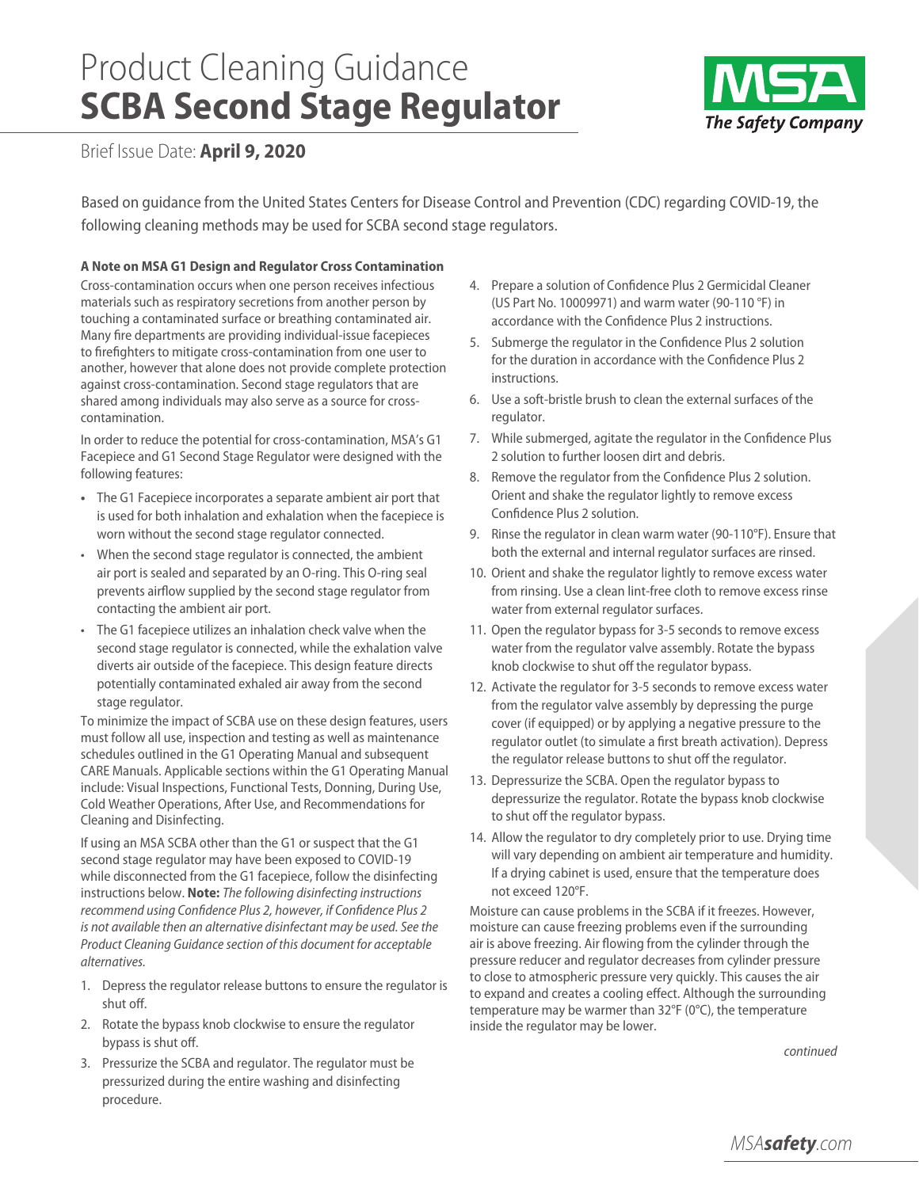# Product Cleaning Guidance **SCBA Second Stage Regulator**



Brief Issue Date: **April 9, 2020**

Based on guidance from the United States Centers for Disease Control and Prevention (CDC) regarding COVID-19, the following cleaning methods may be used for SCBA second stage regulators.

# **A Note on MSA G1 Design and Regulator Cross Contamination**

Cross-contamination occurs when one person receives infectious materials such as respiratory secretions from another person by touching a contaminated surface or breathing contaminated air. Many fire departments are providing individual-issue facepieces to firefighters to mitigate cross-contamination from one user to another, however that alone does not provide complete protection against cross-contamination. Second stage regulators that are shared among individuals may also serve as a source for crosscontamination.

In order to reduce the potential for cross-contamination, MSA's G1 Facepiece and G1 Second Stage Regulator were designed with the following features:

- **•** The G1 Facepiece incorporates a separate ambient air port that is used for both inhalation and exhalation when the facepiece is worn without the second stage regulator connected.
- When the second stage regulator is connected, the ambient air port is sealed and separated by an O-ring. This O-ring seal prevents airflow supplied by the second stage regulator from contacting the ambient air port.
- The G1 facepiece utilizes an inhalation check valve when the second stage regulator is connected, while the exhalation valve diverts air outside of the facepiece. This design feature directs potentially contaminated exhaled air away from the second stage regulator.

To minimize the impact of SCBA use on these design features, users must follow all use, inspection and testing as well as maintenance schedules outlined in the G1 Operating Manual and subsequent CARE Manuals. Applicable sections within the G1 Operating Manual include: Visual Inspections, Functional Tests, Donning, During Use, Cold Weather Operations, After Use, and Recommendations for Cleaning and Disinfecting.

If using an MSA SCBA other than the G1 or suspect that the G1 second stage regulator may have been exposed to COVID-19 while disconnected from the G1 facepiece, follow the disinfecting instructions below. **Note:** *The following disinfecting instructions recommend using Confidence Plus 2, however, if Confidence Plus 2 is not available then an alternative disinfectant may be used. See the Product Cleaning Guidance section of this document for acceptable alternatives.* 

- 1. Depress the regulator release buttons to ensure the regulator is shut off.
- 2. Rotate the bypass knob clockwise to ensure the regulator bypass is shut off.
- 3. Pressurize the SCBA and regulator. The regulator must be pressurized during the entire washing and disinfecting procedure.
- 4. Prepare a solution of Confidence Plus 2 Germicidal Cleaner (US Part No. 10009971) and warm water (90-110 °F) in accordance with the Confidence Plus 2 instructions.
- 5. Submerge the regulator in the Confidence Plus 2 solution for the duration in accordance with the Confidence Plus 2 instructions.
- 6. Use a soft-bristle brush to clean the external surfaces of the regulator.
- 7. While submerged, agitate the regulator in the Confidence Plus 2 solution to further loosen dirt and debris.
- 8. Remove the regulator from the Confidence Plus 2 solution. Orient and shake the regulator lightly to remove excess Confidence Plus 2 solution.
- 9. Rinse the regulator in clean warm water (90-110°F). Ensure that both the external and internal regulator surfaces are rinsed.
- 10. Orient and shake the regulator lightly to remove excess water from rinsing. Use a clean lint-free cloth to remove excess rinse water from external regulator surfaces.
- 11. Open the regulator bypass for 3-5 seconds to remove excess water from the regulator valve assembly. Rotate the bypass knob clockwise to shut off the regulator bypass.
- 12. Activate the regulator for 3-5 seconds to remove excess water from the regulator valve assembly by depressing the purge cover (if equipped) or by applying a negative pressure to the regulator outlet (to simulate a first breath activation). Depress the regulator release buttons to shut off the regulator.
- 13. Depressurize the SCBA. Open the regulator bypass to depressurize the regulator. Rotate the bypass knob clockwise to shut off the regulator bypass.
- 14. Allow the regulator to dry completely prior to use. Drying time will vary depending on ambient air temperature and humidity. If a drying cabinet is used, ensure that the temperature does not exceed 120°F.

Moisture can cause problems in the SCBA if it freezes. However, moisture can cause freezing problems even if the surrounding air is above freezing. Air flowing from the cylinder through the pressure reducer and regulator decreases from cylinder pressure to close to atmospheric pressure very quickly. This causes the air to expand and creates a cooling effect. Although the surrounding temperature may be warmer than 32°F (0°C), the temperature inside the regulator may be lower.

*continued*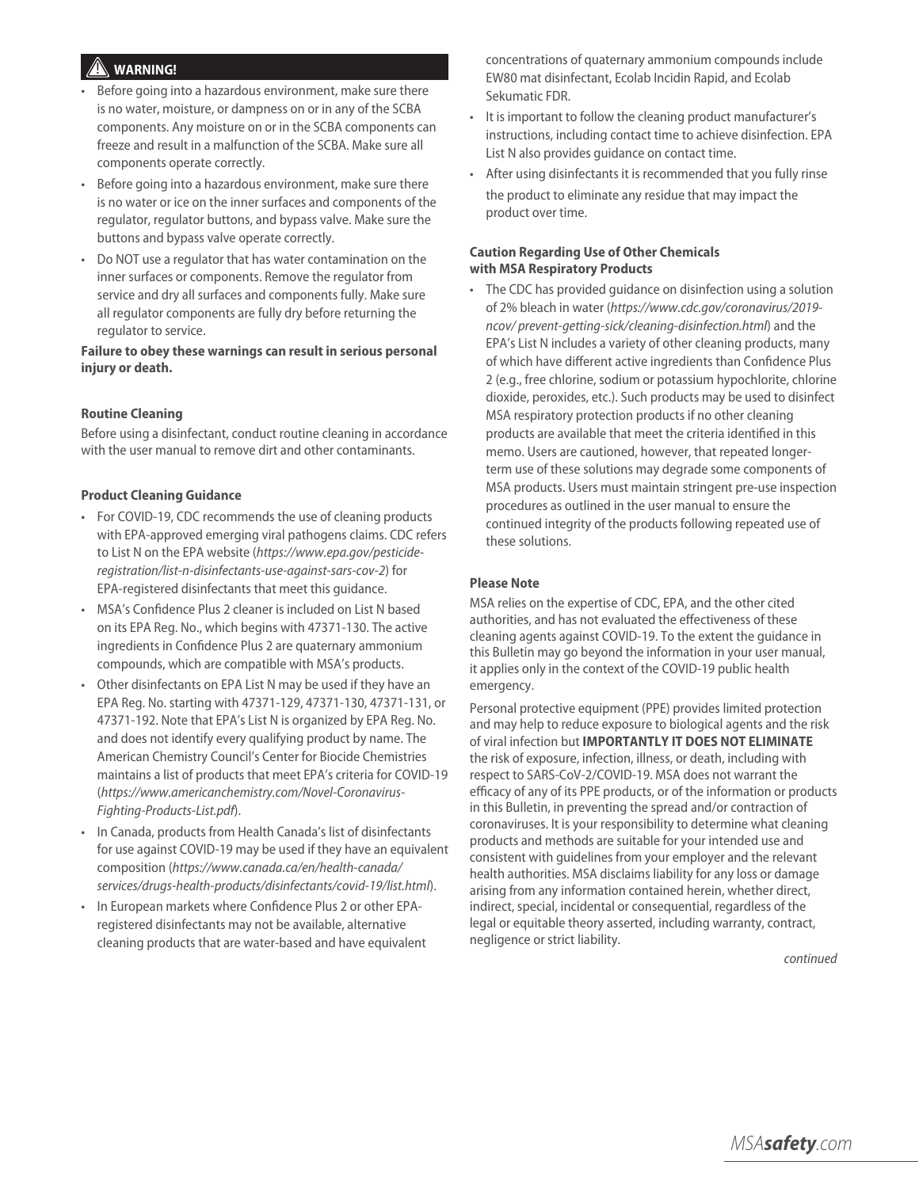# **WARNING!** !

- Before going into a hazardous environment, make sure there is no water, moisture, or dampness on or in any of the SCBA components. Any moisture on or in the SCBA components can freeze and result in a malfunction of the SCBA. Make sure all components operate correctly.
- Before going into a hazardous environment, make sure there is no water or ice on the inner surfaces and components of the regulator, regulator buttons, and bypass valve. Make sure the buttons and bypass valve operate correctly.
- Do NOT use a regulator that has water contamination on the inner surfaces or components. Remove the regulator from service and dry all surfaces and components fully. Make sure all regulator components are fully dry before returning the regulator to service.

## **Failure to obey these warnings can result in serious personal injury or death.**

#### **Routine Cleaning**

Before using a disinfectant, conduct routine cleaning in accordance with the user manual to remove dirt and other contaminants.

#### **Product Cleaning Guidance**

- For COVID-19, CDC recommends the use of cleaning products with EPA-approved emerging viral pathogens claims. CDC refers to List N on the EPA website (*https://www.epa.gov/pesticideregistration/list-n-disinfectants-use-against-sars-cov-2*) for EPA-registered disinfectants that meet this guidance.
- MSA's Confidence Plus 2 cleaner is included on List N based on its EPA Reg. No., which begins with 47371-130. The active ingredients in Confidence Plus 2 are quaternary ammonium compounds, which are compatible with MSA's products.
- Other disinfectants on EPA List N may be used if they have an EPA Reg. No. starting with 47371-129, 47371-130, 47371-131, or 47371-192. Note that EPA's List N is organized by EPA Reg. No. and does not identify every qualifying product by name. The American Chemistry Council's Center for Biocide Chemistries maintains a list of products that meet EPA's criteria for COVID-19 (*https://www.americanchemistry.com/Novel-Coronavirus-Fighting-Products-List.pdf*).
- In Canada, products from Health Canada's list of disinfectants for use against COVID-19 may be used if they have an equivalent composition (*https://www.canada.ca/en/health-canada/ services/drugs-health-products/disinfectants/covid-19/list.html*).
- In European markets where Confidence Plus 2 or other EPAregistered disinfectants may not be available, alternative cleaning products that are water-based and have equivalent

concentrations of quaternary ammonium compounds include EW80 mat disinfectant, Ecolab Incidin Rapid, and Ecolab Sekumatic FDR.

- It is important to follow the cleaning product manufacturer's instructions, including contact time to achieve disinfection. EPA List N also provides guidance on contact time.
- After using disinfectants it is recommended that you fully rinse the product to eliminate any residue that may impact the product over time.

## **Caution Regarding Use of Other Chemicals with MSA Respiratory Products**

• The CDC has provided guidance on disinfection using a solution of 2% bleach in water (*https://www.cdc.gov/coronavirus/2019 ncov/ prevent-getting-sick/cleaning-disinfection.html*) and the EPA's List N includes a variety of other cleaning products, many of which have different active ingredients than Confidence Plus 2 (e.g., free chlorine, sodium or potassium hypochlorite, chlorine dioxide, peroxides, etc.). Such products may be used to disinfect MSA respiratory protection products if no other cleaning products are available that meet the criteria identified in this memo. Users are cautioned, however, that repeated longerterm use of these solutions may degrade some components of MSA products. Users must maintain stringent pre-use inspection procedures as outlined in the user manual to ensure the continued integrity of the products following repeated use of these solutions.

#### **Please Note**

MSA relies on the expertise of CDC, EPA, and the other cited authorities, and has not evaluated the effectiveness of these cleaning agents against COVID-19. To the extent the guidance in this Bulletin may go beyond the information in your user manual, it applies only in the context of the COVID-19 public health emergency.

Personal protective equipment (PPE) provides limited protection and may help to reduce exposure to biological agents and the risk of viral infection but **IMPORTANTLY IT DOES NOT ELIMINATE** the risk of exposure, infection, illness, or death, including with respect to SARS-CoV-2/COVID-19. MSA does not warrant the efficacy of any of its PPE products, or of the information or products in this Bulletin, in preventing the spread and/or contraction of coronaviruses. It is your responsibility to determine what cleaning products and methods are suitable for your intended use and consistent with guidelines from your employer and the relevant health authorities. MSA disclaims liability for any loss or damage arising from any information contained herein, whether direct, indirect, special, incidental or consequential, regardless of the legal or equitable theory asserted, including warranty, contract, negligence or strict liability.

*continued*